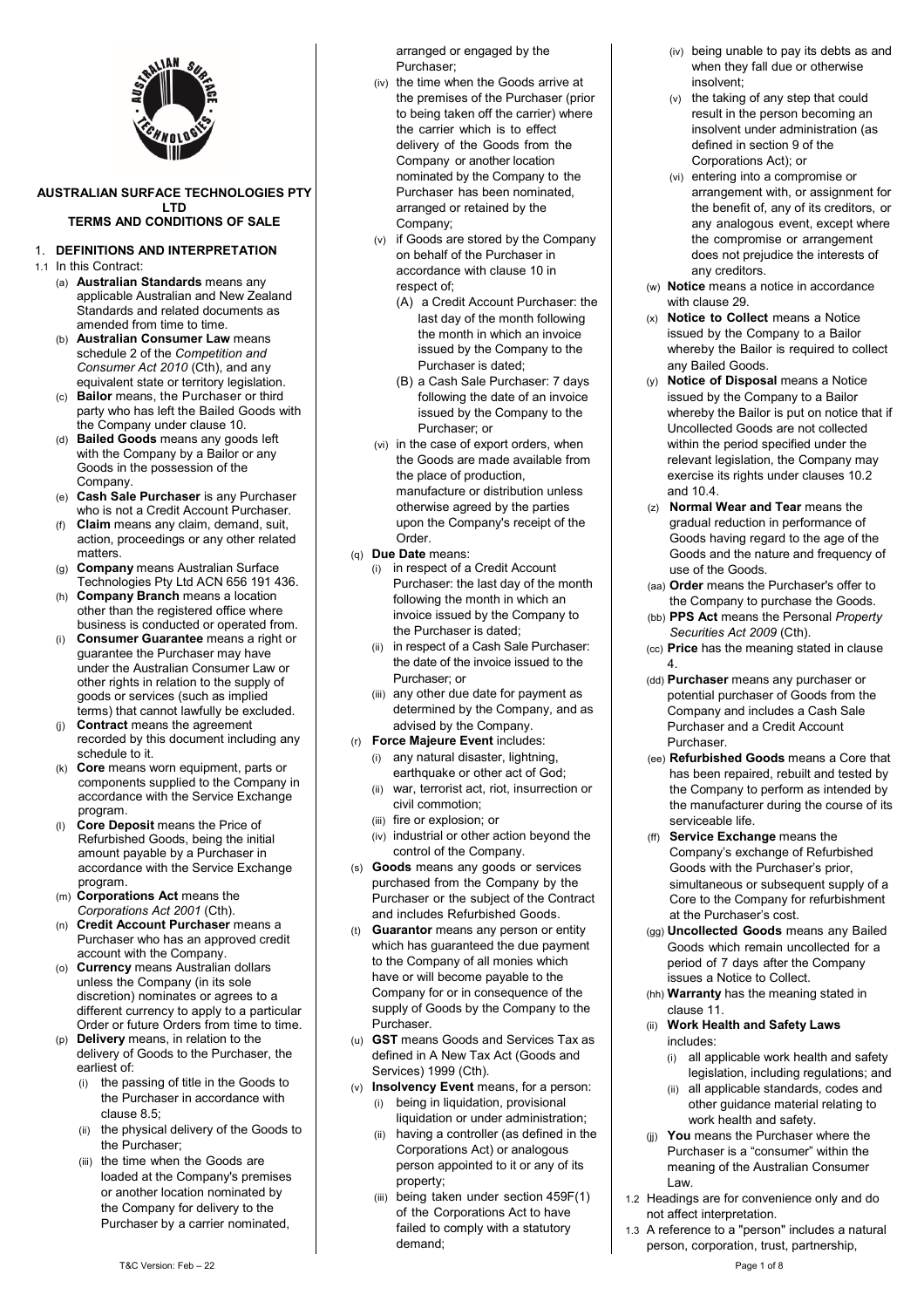

#### **AUSTRALIAN SURFACE TECHNOLOGIES PTY LTD TERMS AND CONDITIONS OF SALE**

# 1. **DEFINITIONS AND INTERPRETATION**

#### 1.1 In this Contract:

- (a) **Australian Standards** means any applicable Australian and New Zealand Standards and related documents as amended from time to time.
- (b) **Australian Consumer Law** means schedule 2 of the *Competition and Consumer Act 2010* (Cth), and any equivalent state or territory legislation.
- (c) **Bailor** means, the Purchaser or third party who has left the Bailed Goods with the Company under claus[e 10.](#page-3-0)
- (d) **Bailed Goods** means any goods left with the Company by a Bailor or any Goods in the possession of the Company.
- **Cash Sale Purchaser** is any Purchaser who is not a Credit Account Purchaser.
- (f) **Claim** means any claim, demand, suit, action, proceedings or any other related matters.
- (g) **Company** means Australian Surface
- Technologies Pty Ltd ACN 656 191 436. (h) **Company Branch** means a location other than the registered office where business is conducted or operated from.
- (i) **Consumer Guarantee** means a right or guarantee the Purchaser may have under the Australian Consumer Law or other rights in relation to the supply of goods or services (such as implied terms) that cannot lawfully be excluded.
- (j) **Contract** means the agreement recorded by this document including any schedule to it.
- (k) **Core** means worn equipment, parts or components supplied to the Company in accordance with the Service Exchange program.
- (l) **Core Deposit** means the Price of Refurbished Goods, being the initial amount payable by a Purchaser in accordance with the Service Exchange program.
- (m) **Corporations Act** means the *Corporations Act 2001* (Cth).
- (n) **Credit Account Purchaser** means a Purchaser who has an approved credit account with the Company.
- (o) **Currency** means Australian dollars unless the Company (in its sole discretion) nominates or agrees to a different currency to apply to a particular Order or future Orders from time to time.
- (p) **Delivery** means, in relation to the delivery of Goods to the Purchaser, the earliest of:
	- (i) the passing of title in the Goods to the Purchaser in accordance with claus[e 8.5;](#page-2-0)
	- (ii) the physical delivery of the Goods to the Purchaser;
	- (iii) the time when the Goods are loaded at the Company's premises or another location nominated by the Company for delivery to the Purchaser by a carrier nominated,

arranged or engaged by the Purchaser;

- (iv) the time when the Goods arrive at the premises of the Purchaser (prior to being taken off the carrier) where the carrier which is to effect delivery of the Goods from the Company or another location nominated by the Company to the Purchaser has been nominated, arranged or retained by the Company;
- (v) if Goods are stored by the Company on behalf of the Purchaser in accordance with clause [10](#page-3-0) in respect of;
	- (A) a Credit Account Purchaser: the last day of the month following the month in which an invoice issued by the Company to the Purchaser is dated;
	- (B) a Cash Sale Purchaser: 7 days following the date of an invoice issued by the Company to the Purchaser; or
- (vi) in the case of export orders, when the Goods are made available from the place of production, manufacture or distribution unless otherwise agreed by the parties upon the Company's receipt of the Order.
- (q) **Due Date** means:
	- (i) in respect of a Credit Account Purchaser: the last day of the month following the month in which an invoice issued by the Company to the Purchaser is dated;
	- (ii) in respect of a Cash Sale Purchaser: the date of the invoice issued to the Purchaser; or
	- (iii) any other due date for payment as determined by the Company, and as advised by the Company.
- (r) **Force Majeure Event** includes:
	- (i) any natural disaster, lightning, earthquake or other act of God;
	- (ii) war, terrorist act, riot, insurrection or civil commotion;
	- (iii) fire or explosion; or
	- (iv) industrial or other action beyond the control of the Company.
- (s) **Goods** means any goods or services purchased from the Company by the Purchaser or the subject of the Contract and includes Refurbished Goods.
- (t) **Guarantor** means any person or entity which has guaranteed the due payment to the Company of all monies which have or will become payable to the Company for or in consequence of the supply of Goods by the Company to the Purchaser.
- (u) **GST** means Goods and Services Tax as defined in A New Tax Act (Goods and Services) 1999 (Cth).
- (v) **Insolvency Event** means, for a person: (i) being in liquidation, provisional liquidation or under administration;
	- (ii) having a controller (as defined in the Corporations Act) or analogous person appointed to it or any of its property;
	- (iii) being taken under section 459F(1) of the Corporations Act to have failed to comply with a statutory demand;
- (iv) being unable to pay its debts as and when they fall due or otherwise insolvent;
- (v) the taking of any step that could result in the person becoming an insolvent under administration (as defined in section 9 of the Corporations Act); or
- (vi) entering into a compromise or arrangement with, or assignment for the benefit of, any of its creditors, or any analogous event, except where the compromise or arrangement does not prejudice the interests of any creditors.
- (w) **Notice** means a notice in accordance with clause [29.](#page-6-0)
- (x) **Notice to Collect** means a Notice issued by the Company to a Bailor whereby the Bailor is required to collect any Bailed Goods.
- (y) **Notice of Disposal** means a Notice issued by the Company to a Bailor whereby the Bailor is put on notice that if Uncollected Goods are not collected within the period specified under the relevant legislation, the Company may exercise its rights under clauses [10.2](#page-3-1) an[d 10.4.](#page-3-2)
- (z) **Normal Wear and Tear** means the gradual reduction in performance of Goods having regard to the age of the Goods and the nature and frequency of use of the Goods.
- (aa) **Order** means the Purchaser's offer to the Company to purchase the Goods.
- (bb) **PPS Act** means the Personal *Property Securities Act 2009* (Cth).
- (cc) **Price** has the meaning stated in clause [4.](#page-1-0)
- (dd) **Purchaser** means any purchaser or potential purchaser of Goods from the Company and includes a Cash Sale Purchaser and a Credit Account Purchaser.
- (ee) **Refurbished Goods** means a Core that has been repaired, rebuilt and tested by the Company to perform as intended by the manufacturer during the course of its serviceable life.
- (ff) **Service Exchange** means the Company's exchange of Refurbished Goods with the Purchaser's prior, simultaneous or subsequent supply of a Core to the Company for refurbishment at the Purchaser's cost.
- (gg) **Uncollected Goods** means any Bailed Goods which remain uncollected for a period of 7 days after the Company issues a Notice to Collect.
- (hh) **Warranty** has the meaning stated in claus[e 11.](#page-4-0)
- (ii) **Work Health and Safety Laws** includes:
	- (i) all applicable work health and safety legislation, including regulations; and
	- (ii) all applicable standards, codes and other guidance material relating to work health and safety.
- (jj) **You** means the Purchaser where the Purchaser is a "consumer" within the meaning of the Australian Consumer Law.
- 1.2 Headings are for convenience only and do not affect interpretation.
- 1.3 A reference to a "person" includes a natural person, corporation, trust, partnership,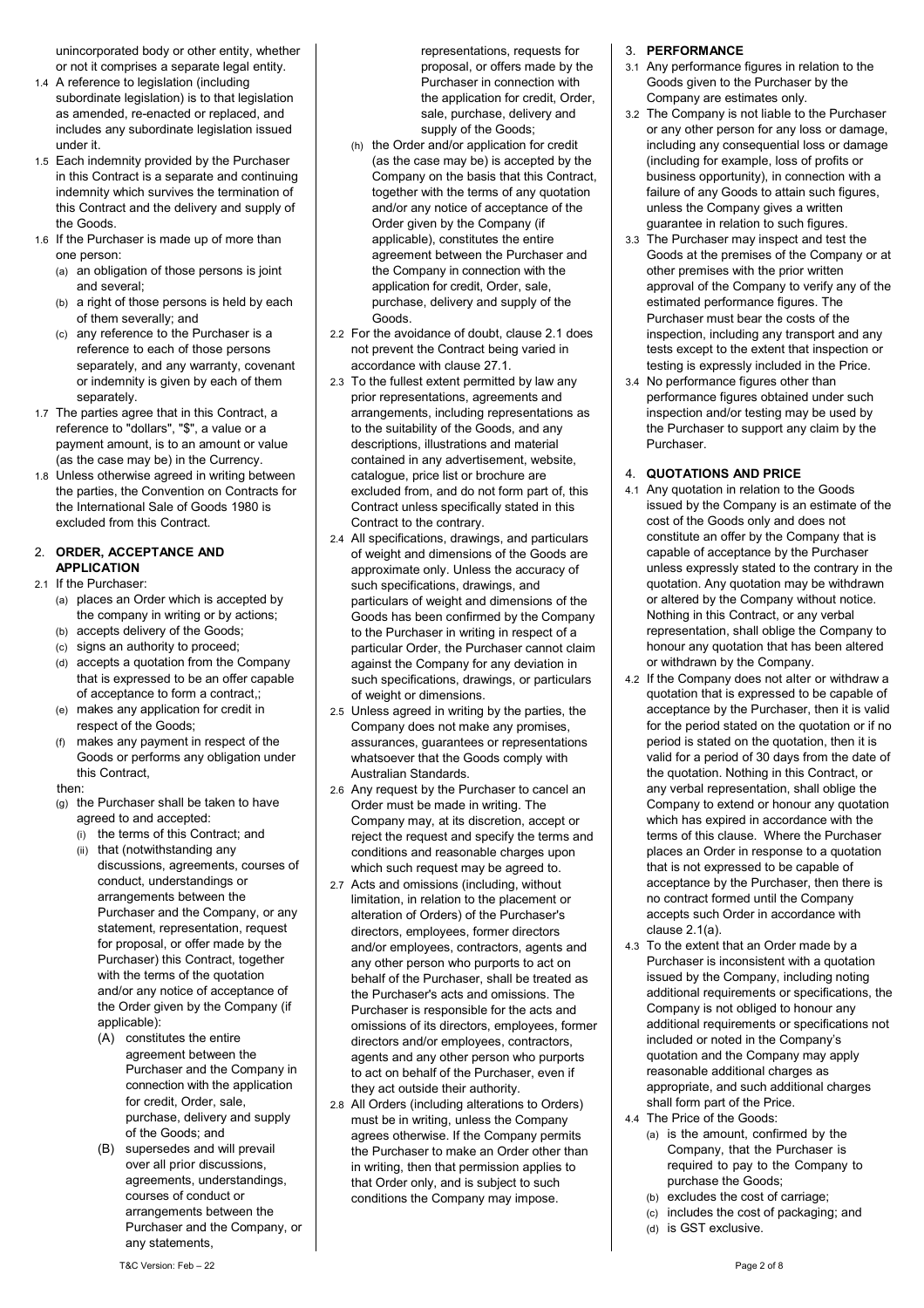unincorporated body or other entity, whether or not it comprises a separate legal entity.

- 1.4 A reference to legislation (including subordinate legislation) is to that legislation as amended, re-enacted or replaced, and includes any subordinate legislation issued under it.
- 1.5 Each indemnity provided by the Purchaser in this Contract is a separate and continuing indemnity which survives the termination of this Contract and the delivery and supply of the Goods.
- 1.6 If the Purchaser is made up of more than one person:
	- (a) an obligation of those persons is joint and several;
	- (b) a right of those persons is held by each of them severally; and
	- (c) any reference to the Purchaser is a reference to each of those persons separately, and any warranty, covenant or indemnity is given by each of them separately.
- 1.7 The parties agree that in this Contract, a reference to "dollars", "\$", a value or a payment amount, is to an amount or value (as the case may be) in the Currency.
- 1.8 Unless otherwise agreed in writing between the parties, the Convention on Contracts for the International Sale of Goods 1980 is excluded from this Contract.

## 2. **ORDER, ACCEPTANCE AND APPLICATION**

# <span id="page-1-2"></span><span id="page-1-1"></span>2.1 If the Purchaser:

- (a) places an Order which is accepted by the company in writing or by actions;
- (b) accepts delivery of the Goods;
- (c) signs an authority to proceed;
- (d) accepts a quotation from the Company that is expressed to be an offer capable of acceptance to form a contract,;
- (e) makes any application for credit in respect of the Goods;
- (f) makes any payment in respect of the Goods or performs any obligation under this Contract,

#### then:

- (g) the Purchaser shall be taken to have agreed to and accepted:
	- (i) the terms of this Contract; and
	- (ii) that (notwithstanding any discussions, agreements, courses of conduct, understandings or arrangements between the Purchaser and the Company, or any statement, representation, request for proposal, or offer made by the Purchaser) this Contract, together with the terms of the quotation and/or any notice of acceptance of the Order given by the Company (if applicable):
		- (A) constitutes the entire agreement between the Purchaser and the Company in connection with the application for credit, Order, sale, purchase, delivery and supply of the Goods; and
		- (B) supersedes and will prevail over all prior discussions, agreements, understandings, courses of conduct or arrangements between the Purchaser and the Company, or any statements,

representations, requests for proposal, or offers made by the Purchaser in connection with the application for credit, Order, sale, purchase, delivery and supply of the Goods;

- (h) the Order and/or application for credit (as the case may be) is accepted by the Company on the basis that this Contract, together with the terms of any quotation and/or any notice of acceptance of the Order given by the Company (if applicable), constitutes the entire agreement between the Purchaser and the Company in connection with the application for credit, Order, sale, purchase, delivery and supply of the Goods.
- 2.2 For the avoidance of doubt, claus[e 2.1](#page-1-1) does not prevent the Contract being varied in accordance with claus[e 27.1.](#page-6-1)
- 2.3 To the fullest extent permitted by law any prior representations, agreements and arrangements, including representations as to the suitability of the Goods, and any descriptions, illustrations and material contained in any advertisement, website, catalogue, price list or brochure are excluded from, and do not form part of, this Contract unless specifically stated in this Contract to the contrary.
- 2.4 All specifications, drawings, and particulars of weight and dimensions of the Goods are approximate only. Unless the accuracy of such specifications, drawings, and particulars of weight and dimensions of the Goods has been confirmed by the Company to the Purchaser in writing in respect of a particular Order, the Purchaser cannot claim against the Company for any deviation in such specifications, drawings, or particulars of weight or dimensions.
- 2.5 Unless agreed in writing by the parties, the Company does not make any promises, assurances, guarantees or representations whatsoever that the Goods comply with Australian Standards.
- 2.6 Any request by the Purchaser to cancel an Order must be made in writing. The Company may, at its discretion, accept or reject the request and specify the terms and conditions and reasonable charges upon which such request may be agreed to.
- 2.7 Acts and omissions (including, without limitation, in relation to the placement or alteration of Orders) of the Purchaser's directors, employees, former directors and/or employees, contractors, agents and any other person who purports to act on behalf of the Purchaser, shall be treated as the Purchaser's acts and omissions. The Purchaser is responsible for the acts and omissions of its directors, employees, former directors and/or employees, contractors, agents and any other person who purports to act on behalf of the Purchaser, even if they act outside their authority.
- 2.8 All Orders (including alterations to Orders) must be in writing, unless the Company agrees otherwise. If the Company permits the Purchaser to make an Order other than in writing, then that permission applies to that Order only, and is subject to such conditions the Company may impose.

# 3. **PERFORMANCE**

- 3.1 Any performance figures in relation to the Goods given to the Purchaser by the Company are estimates only.
- 3.2 The Company is not liable to the Purchaser or any other person for any loss or damage, including any consequential loss or damage (including for example, loss of profits or business opportunity), in connection with a failure of any Goods to attain such figures, unless the Company gives a written guarantee in relation to such figures.
- 3.3 The Purchaser may inspect and test the Goods at the premises of the Company or at other premises with the prior written approval of the Company to verify any of the estimated performance figures. The Purchaser must bear the costs of the inspection, including any transport and any tests except to the extent that inspection or testing is expressly included in the Price.
- 3.4 No performance figures other than performance figures obtained under such inspection and/or testing may be used by the Purchaser to support any claim by the Purchaser.

# <span id="page-1-0"></span>4. **QUOTATIONS AND PRICE**

- 4.1 Any quotation in relation to the Goods issued by the Company is an estimate of the cost of the Goods only and does not constitute an offer by the Company that is capable of acceptance by the Purchaser unless expressly stated to the contrary in the quotation. Any quotation may be withdrawn or altered by the Company without notice. Nothing in this Contract, or any verbal representation, shall oblige the Company to honour any quotation that has been altered or withdrawn by the Company.
- 4.2 If the Company does not alter or withdraw a quotation that is expressed to be capable of acceptance by the Purchaser, then it is valid for the period stated on the quotation or if no period is stated on the quotation, then it is valid for a period of 30 days from the date of the quotation. Nothing in this Contract, or any verbal representation, shall oblige the Company to extend or honour any quotation which has expired in accordance with the terms of this clause. Where the Purchaser places an Order in response to a quotation that is not expressed to be capable of acceptance by the Purchaser, then there is no contract formed until the Company accepts such Order in accordance with claus[e 2.1\(a\).](#page-1-2)
- 4.3 To the extent that an Order made by a Purchaser is inconsistent with a quotation issued by the Company, including noting additional requirements or specifications, the Company is not obliged to honour any additional requirements or specifications not included or noted in the Company's quotation and the Company may apply reasonable additional charges as appropriate, and such additional charges shall form part of the Price.
- 4.4 The Price of the Goods:
	- (a) is the amount, confirmed by the Company, that the Purchaser is required to pay to the Company to purchase the Goods;
	- (b) excludes the cost of carriage;
	- (c) includes the cost of packaging; and (d) is GST exclusive.
		-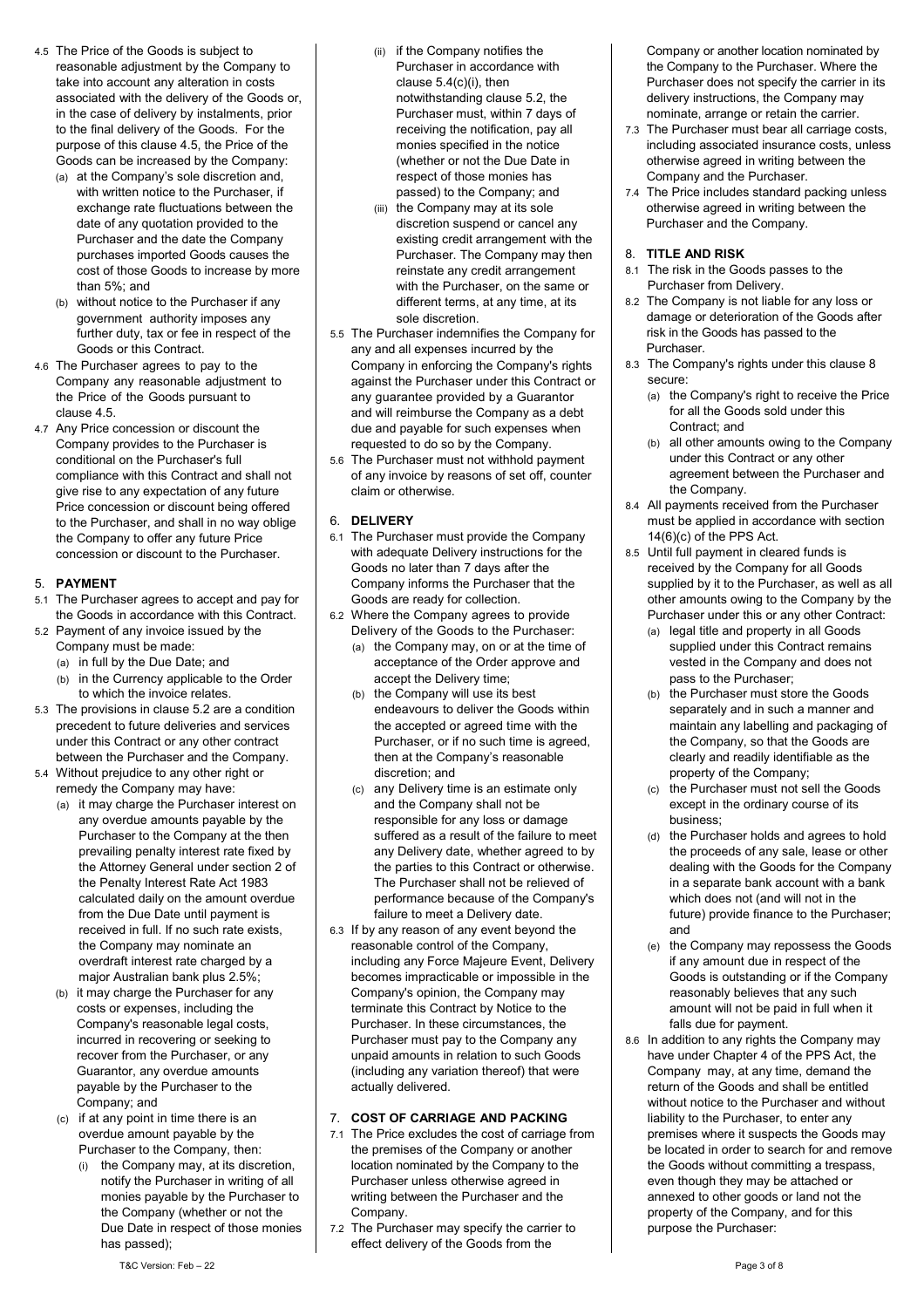- <span id="page-2-1"></span>4.5 The Price of the Goods is subject to reasonable adjustment by the Company to take into account any alteration in costs associated with the delivery of the Goods or, in the case of delivery by instalments, prior to the final delivery of the Goods. For the purpose of this claus[e 4.5,](#page-2-1) the Price of the Goods can be increased by the Company:
	- (a) at the Company's sole discretion and, with written notice to the Purchaser, if exchange rate fluctuations between the date of any quotation provided to the Purchaser and the date the Company purchases imported Goods causes the cost of those Goods to increase by more than 5%; and
	- (b) without notice to the Purchaser if any government authority imposes any further duty, tax or fee in respect of the Goods or this Contract.
- 4.6 The Purchaser agrees to pay to the Company any reasonable adjustment to the Price of the Goods pursuant to clause [4.5.](#page-2-1)
- 4.7 Any Price concession or discount the Company provides to the Purchaser is conditional on the Purchaser's full compliance with this Contract and shall not give rise to any expectation of any future Price concession or discount being offered to the Purchaser, and shall in no way oblige the Company to offer any future Price concession or discount to the Purchaser.

# 5. **PAYMENT**

- 5.1 The Purchaser agrees to accept and pay for the Goods in accordance with this Contract.
- <span id="page-2-2"></span>5.2 Payment of any invoice issued by the Company must be made:
	- (a) in full by the Due Date; and
	- (b) in the Currency applicable to the Order
- to which the invoice relates. 5.3 The provisions in clause [5.2](#page-2-2) are a condition precedent to future deliveries and services under this Contract or any other contract between the Purchaser and the Company.
- 5.4 Without prejudice to any other right or remedy the Company may have:
	- (a) it may charge the Purchaser interest on any overdue amounts payable by the Purchaser to the Company at the then prevailing penalty interest rate fixed by the Attorney General under section 2 of the Penalty Interest Rate Act 1983 calculated daily on the amount overdue from the Due Date until payment is received in full. If no such rate exists, the Company may nominate an overdraft interest rate charged by a major Australian bank plus 2.5%;
	- (b) it may charge the Purchaser for any costs or expenses, including the Company's reasonable legal costs, incurred in recovering or seeking to recover from the Purchaser, or any Guarantor, any overdue amounts payable by the Purchaser to the Company; and
	- (c) if at any point in time there is an overdue amount payable by the Purchaser to the Company, then:
		- (i) the Company may, at its discretion, notify the Purchaser in writing of all monies payable by the Purchaser to the Company (whether or not the Due Date in respect of those monies has passed);
- (ii) if the Company notifies the Purchaser in accordance with claus[e 5.4\(c\)\(i\),](#page-2-3) then notwithstanding claus[e 5.2,](#page-2-2) the Purchaser must, within 7 days of receiving the notification, pay all monies specified in the notice (whether or not the Due Date in respect of those monies has passed) to the Company; and
- (iii) the Company may at its sole discretion suspend or cancel any existing credit arrangement with the Purchaser. The Company may then reinstate any credit arrangement with the Purchaser, on the same or different terms, at any time, at its sole discretion.
- 5.5 The Purchaser indemnifies the Company for any and all expenses incurred by the Company in enforcing the Company's rights against the Purchaser under this Contract or any guarantee provided by a Guarantor and will reimburse the Company as a debt due and payable for such expenses when requested to do so by the Company.
- 5.6 The Purchaser must not withhold payment of any invoice by reasons of set off, counter claim or otherwise.

# 6. **DELIVERY**

- 6.1 The Purchaser must provide the Company with adequate Delivery instructions for the Goods no later than 7 days after the Company informs the Purchaser that the Goods are ready for collection.
- 6.2 Where the Company agrees to provide Delivery of the Goods to the Purchaser: (a) the Company may, on or at the time of acceptance of the Order approve and accept the Delivery time;
	- (b) the Company will use its best endeavours to deliver the Goods within the accepted or agreed time with the Purchaser, or if no such time is agreed, then at the Company's reasonable discretion; and
	- (c) any Delivery time is an estimate only and the Company shall not be responsible for any loss or damage suffered as a result of the failure to meet any Delivery date, whether agreed to by the parties to this Contract or otherwise. The Purchaser shall not be relieved of performance because of the Company's failure to meet a Delivery date.
- 6.3 If by any reason of any event beyond the reasonable control of the Company, including any Force Majeure Event, Delivery becomes impracticable or impossible in the Company's opinion, the Company may terminate this Contract by Notice to the Purchaser. In these circumstances, the Purchaser must pay to the Company any unpaid amounts in relation to such Goods (including any variation thereof) that were actually delivered.

# 7. **COST OF CARRIAGE AND PACKING**

- <span id="page-2-3"></span>7.1 The Price excludes the cost of carriage from the premises of the Company or another location nominated by the Company to the Purchaser unless otherwise agreed in writing between the Purchaser and the Company.
- 7.2 The Purchaser may specify the carrier to effect delivery of the Goods from the

Company or another location nominated by the Company to the Purchaser. Where the Purchaser does not specify the carrier in its delivery instructions, the Company may nominate, arrange or retain the carrier.

- 7.3 The Purchaser must bear all carriage costs, including associated insurance costs, unless otherwise agreed in writing between the Company and the Purchaser.
- 7.4 The Price includes standard packing unless otherwise agreed in writing between the Purchaser and the Company.

# <span id="page-2-4"></span>8. **TITLE AND RISK**

- 8.1 The risk in the Goods passes to the Purchaser from Delivery.
- 8.2 The Company is not liable for any loss or damage or deterioration of the Goods after risk in the Goods has passed to the Purchaser.
- 8.3 The Company's rights under this claus[e 8](#page-2-4) secure:
	- (a) the Company's right to receive the Price for all the Goods sold under this Contract; and
	- (b) all other amounts owing to the Company under this Contract or any other agreement between the Purchaser and the Company.
- 8.4 All payments received from the Purchaser must be applied in accordance with section 14(6)(c) of the PPS Act.
- <span id="page-2-0"></span>8.5 Until full payment in cleared funds is received by the Company for all Goods supplied by it to the Purchaser, as well as all other amounts owing to the Company by the Purchaser under this or any other Contract:
	- (a) legal title and property in all Goods supplied under this Contract remains vested in the Company and does not pass to the Purchaser;
	- (b) the Purchaser must store the Goods separately and in such a manner and maintain any labelling and packaging of the Company, so that the Goods are clearly and readily identifiable as the property of the Company;
	- (c) the Purchaser must not sell the Goods except in the ordinary course of its business;
	- (d) the Purchaser holds and agrees to hold the proceeds of any sale, lease or other dealing with the Goods for the Company in a separate bank account with a bank which does not (and will not in the future) provide finance to the Purchaser; and
	- (e) the Company may repossess the Goods if any amount due in respect of the Goods is outstanding or if the Company reasonably believes that any such amount will not be paid in full when it falls due for payment.
- <span id="page-2-5"></span>8.6 In addition to any rights the Company may have under Chapter 4 of the PPS Act, the Company may, at any time, demand the return of the Goods and shall be entitled without notice to the Purchaser and without liability to the Purchaser, to enter any premises where it suspects the Goods may be located in order to search for and remove the Goods without committing a trespass, even though they may be attached or annexed to other goods or land not the property of the Company, and for this purpose the Purchaser: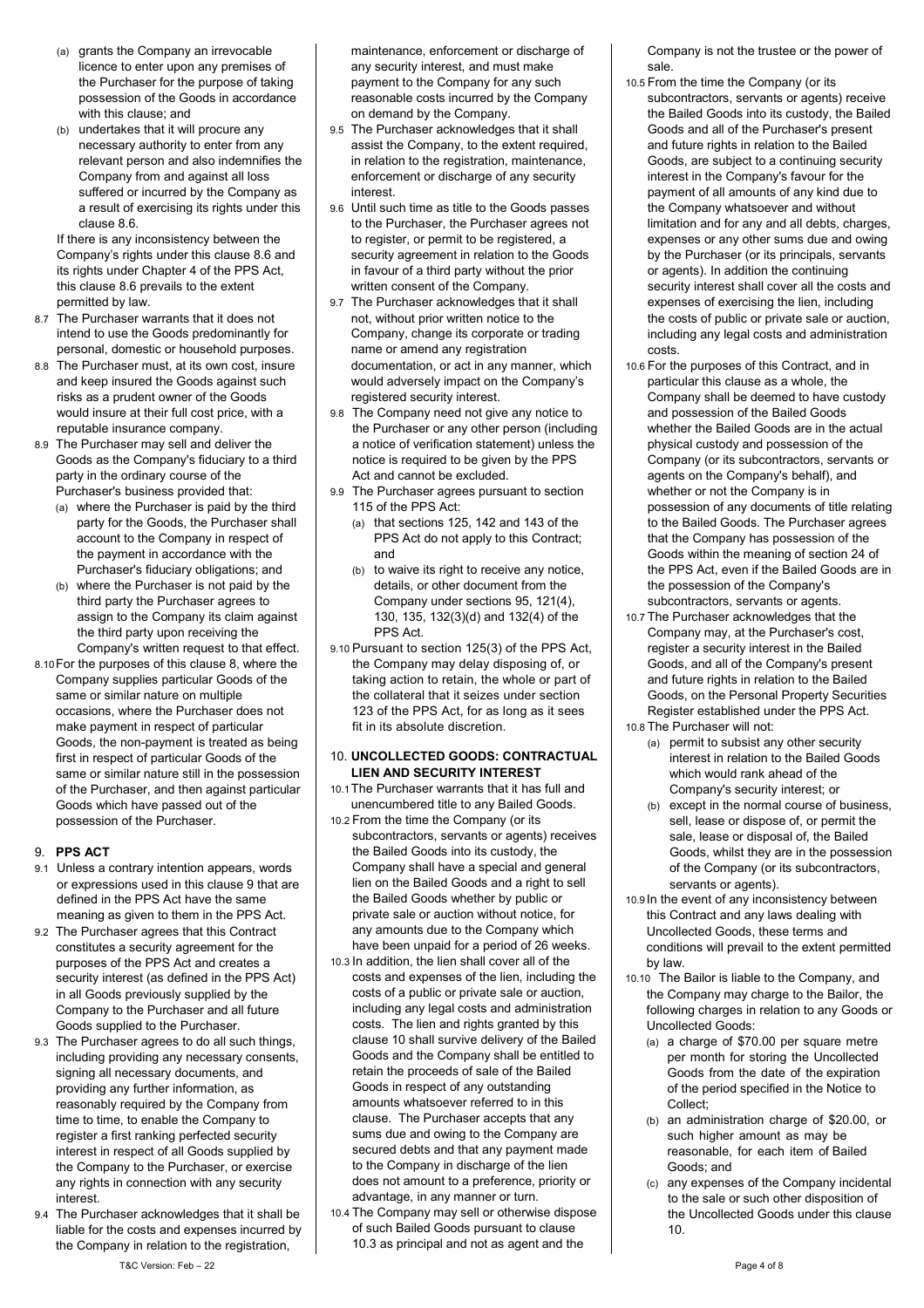- (a) grants the Company an irrevocable licence to enter upon any premises of the Purchaser for the purpose of taking possession of the Goods in accordance with this clause; and
- (b) undertakes that it will procure any necessary authority to enter from any relevant person and also indemnifies the Company from and against all loss suffered or incurred by the Company as a result of exercising its rights under this claus[e 8.6.](#page-2-5)

If there is any inconsistency between the Company's rights under this claus[e 8.6](#page-2-5) and its rights under Chapter 4 of the PPS Act, this claus[e 8.6](#page-2-5) prevails to the extent permitted by law.

- 8.7 The Purchaser warrants that it does not intend to use the Goods predominantly for personal, domestic or household purposes.
- 8.8 The Purchaser must, at its own cost, insure and keep insured the Goods against such risks as a prudent owner of the Goods would insure at their full cost price, with a reputable insurance company.
- 8.9 The Purchaser may sell and deliver the Goods as the Company's fiduciary to a third party in the ordinary course of the Purchaser's business provided that:
	- (a) where the Purchaser is paid by the third party for the Goods, the Purchaser shall account to the Company in respect of the payment in accordance with the Purchaser's fiduciary obligations; and
	- (b) where the Purchaser is not paid by the third party the Purchaser agrees to assign to the Company its claim against the third party upon receiving the Company's written request to that effect.
- 8.10For the purposes of this claus[e 8,](#page-2-4) where the Company supplies particular Goods of the same or similar nature on multiple occasions, where the Purchaser does not make payment in respect of particular Goods, the non-payment is treated as being first in respect of particular Goods of the same or similar nature still in the possession of the Purchaser, and then against particular Goods which have passed out of the possession of the Purchaser.

#### <span id="page-3-3"></span>9. **PPS ACT**

- 9.1 Unless a contrary intention appears, words or expressions used in this clause [9](#page-3-3) that are defined in the PPS Act have the same meaning as given to them in the PPS Act.
- 9.2 The Purchaser agrees that this Contract constitutes a security agreement for the purposes of the PPS Act and creates a security interest (as defined in the PPS Act) in all Goods previously supplied by the Company to the Purchaser and all future Goods supplied to the Purchaser.
- 9.3 The Purchaser agrees to do all such things, including providing any necessary consents, signing all necessary documents, and providing any further information, as reasonably required by the Company from time to time, to enable the Company to register a first ranking perfected security interest in respect of all Goods supplied by the Company to the Purchaser, or exercise any rights in connection with any security interest.
- 9.4 The Purchaser acknowledges that it shall be liable for the costs and expenses incurred by the Company in relation to the registration,

maintenance, enforcement or discharge of any security interest, and must make payment to the Company for any such reasonable costs incurred by the Company on demand by the Company.

- 9.5 The Purchaser acknowledges that it shall assist the Company, to the extent required, in relation to the registration, maintenance, enforcement or discharge of any security interest.
- 9.6 Until such time as title to the Goods passes to the Purchaser, the Purchaser agrees not to register, or permit to be registered, a security agreement in relation to the Goods in favour of a third party without the prior written consent of the Company.
- 9.7 The Purchaser acknowledges that it shall not, without prior written notice to the Company, change its corporate or trading name or amend any registration documentation, or act in any manner, which would adversely impact on the Company's registered security interest.
- 9.8 The Company need not give any notice to the Purchaser or any other person (including a notice of verification statement) unless the notice is required to be given by the PPS Act and cannot be excluded.
- 9.9 The Purchaser agrees pursuant to section 115 of the PPS Act:
	- (a) that sections 125, 142 and 143 of the PPS Act do not apply to this Contract; and
	- (b) to waive its right to receive any notice, details, or other document from the Company under sections 95, 121(4), 130, 135, 132(3)(d) and 132(4) of the PPS Act.
- 9.10 Pursuant to section 125(3) of the PPS Act, the Company may delay disposing of, or taking action to retain, the whole or part of the collateral that it seizes under section 123 of the PPS Act, for as long as it sees fit in its absolute discretion.

#### <span id="page-3-0"></span>10. **UNCOLLECTED GOODS: CONTRACTUAL LIEN AND SECURITY INTEREST**

- 10.1The Purchaser warrants that it has full and unencumbered title to any Bailed Goods.
- <span id="page-3-1"></span>10.2 From the time the Company (or its subcontractors, servants or agents) receives the Bailed Goods into its custody, the Company shall have a special and general lien on the Bailed Goods and a right to sell the Bailed Goods whether by public or private sale or auction without notice, for any amounts due to the Company which have been unpaid for a period of 26 weeks.
- <span id="page-3-4"></span>10.3 In addition, the lien shall cover all of the costs and expenses of the lien, including the costs of a public or private sale or auction, including any legal costs and administration costs. The lien and rights granted by this claus[e 10](#page-3-0) shall survive delivery of the Bailed Goods and the Company shall be entitled to retain the proceeds of sale of the Bailed Goods in respect of any outstanding amounts whatsoever referred to in this clause. The Purchaser accepts that any sums due and owing to the Company are secured debts and that any payment made to the Company in discharge of the lien does not amount to a preference, priority or advantage, in any manner or turn.
- <span id="page-3-2"></span>10.4 The Company may sell or otherwise dispose of such Bailed Goods pursuant to clause [10.3](#page-3-4) as principal and not as agent and the

Company is not the trustee or the power of sale.

- 10.5 From the time the Company (or its subcontractors, servants or agents) receive the Bailed Goods into its custody, the Bailed Goods and all of the Purchaser's present and future rights in relation to the Bailed Goods, are subject to a continuing security interest in the Company's favour for the payment of all amounts of any kind due to the Company whatsoever and without limitation and for any and all debts, charges, expenses or any other sums due and owing by the Purchaser (or its principals, servants or agents). In addition the continuing security interest shall cover all the costs and expenses of exercising the lien, including the costs of public or private sale or auction, including any legal costs and administration costs.
- 10.6 For the purposes of this Contract, and in particular this clause as a whole, the Company shall be deemed to have custody and possession of the Bailed Goods whether the Bailed Goods are in the actual physical custody and possession of the Company (or its subcontractors, servants or agents on the Company's behalf), and whether or not the Company is in possession of any documents of title relating to the Bailed Goods. The Purchaser agrees that the Company has possession of the Goods within the meaning of section 24 of the PPS Act, even if the Bailed Goods are in the possession of the Company's subcontractors, servants or agents.
- 10.7 The Purchaser acknowledges that the Company may, at the Purchaser's cost, register a security interest in the Bailed Goods, and all of the Company's present and future rights in relation to the Bailed Goods, on the Personal Property Securities Register established under the PPS Act.
- 10.8 The Purchaser will not:
	- (a) permit to subsist any other security interest in relation to the Bailed Goods which would rank ahead of the Company's security interest; or
	- (b) except in the normal course of business, sell, lease or dispose of, or permit the sale, lease or disposal of, the Bailed Goods, whilst they are in the possession of the Company (or its subcontractors, servants or agents).
- 10.9 In the event of any inconsistency between this Contract and any laws dealing with Uncollected Goods, these terms and conditions will prevail to the extent permitted by law.
- <span id="page-3-5"></span>10.10 The Bailor is liable to the Company, and the Company may charge to the Bailor, the following charges in relation to any Goods or Uncollected Goods:
	- (a) a charge of \$70.00 per square metre per month for storing the Uncollected Goods from the date of the expiration of the period specified in the Notice to Collect;
	- (b) an administration charge of \$20.00, or such higher amount as may be reasonable, for each item of Bailed Goods; and
	- (c) any expenses of the Company incidental to the sale or such other disposition of the Uncollected Goods under this clause [10.](#page-3-0)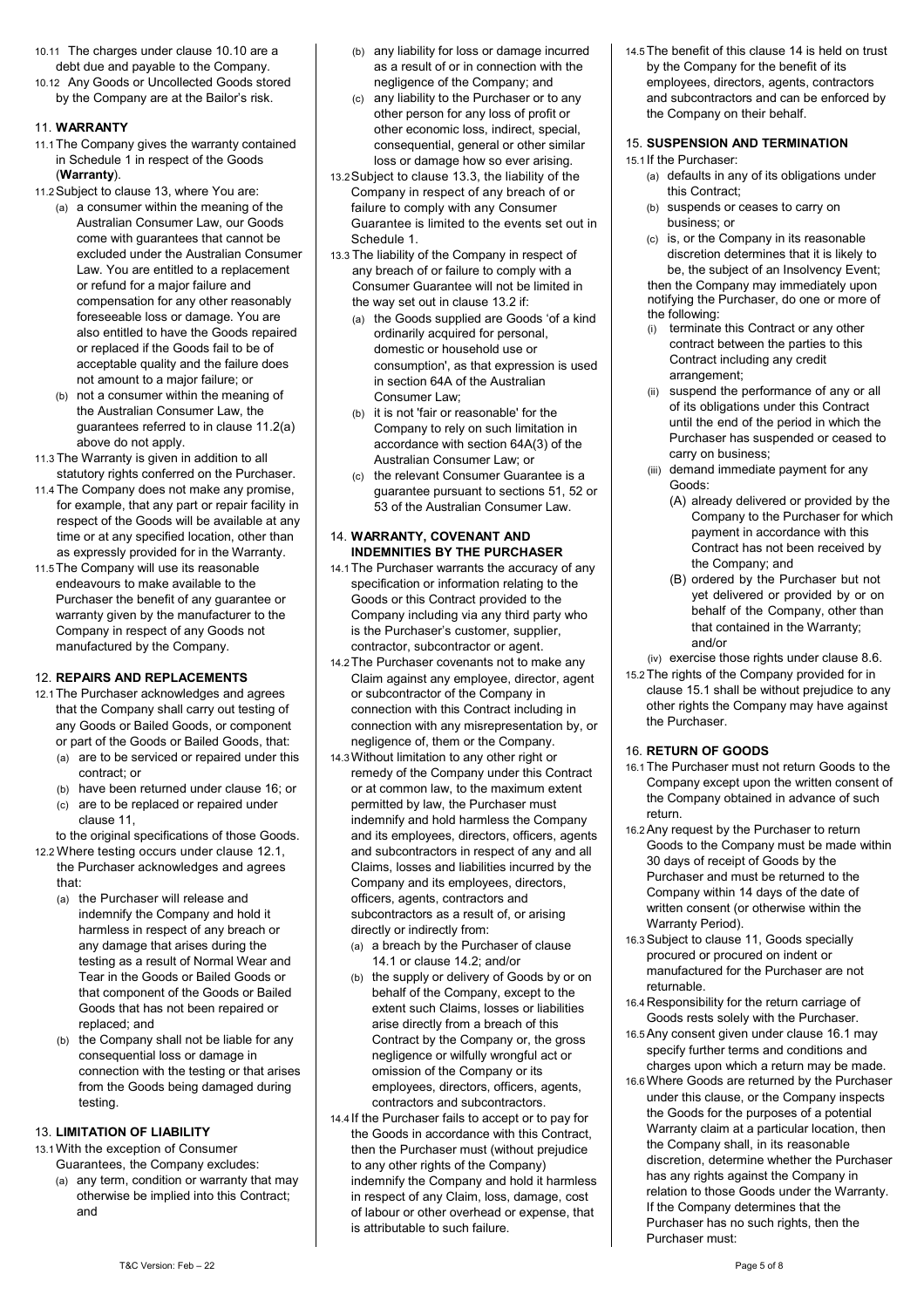- 10.11 The charges under clause [10.10](#page-3-5) are a debt due and payable to the Company.
- 10.12 Any Goods or Uncollected Goods stored by the Company are at the Bailor's risk.

# <span id="page-4-0"></span>11. **WARRANTY**

- 11.1The Company gives the warranty contained in Schedule 1 in respect of the Goods (**Warranty**).
- 11.2Subject to claus[e 13,](#page-4-1) where You are:
	- (a) a consumer within the meaning of the Australian Consumer Law, our Goods come with guarantees that cannot be excluded under the Australian Consumer Law. You are entitled to a replacement or refund for a major failure and compensation for any other reasonably foreseeable loss or damage. You are also entitled to have the Goods repaired or replaced if the Goods fail to be of acceptable quality and the failure does not amount to a major failure; or
	- (b) not a consumer within the meaning of the Australian Consumer Law, the guarantees referred to in clause 11.2(a) above do not apply.

11.3 The Warranty is given in addition to all statutory rights conferred on the Purchaser.

- 11.4 The Company does not make any promise, for example, that any part or repair facility in respect of the Goods will be available at any time or at any specified location, other than as expressly provided for in the Warranty.
- 11.5The Company will use its reasonable endeavours to make available to the Purchaser the benefit of any guarantee or warranty given by the manufacturer to the Company in respect of any Goods not manufactured by the Company.

# 12. **REPAIRS AND REPLACEMENTS**

- <span id="page-4-3"></span>12.1The Purchaser acknowledges and agrees that the Company shall carry out testing of any Goods or Bailed Goods, or component or part of the Goods or Bailed Goods, that:
	- (a) are to be serviced or repaired under this contract; or
	- (b) have been returned under clause [16;](#page-4-2) or (c) are to be replaced or repaired under
	- claus[e 11,](#page-4-0) to the original specifications of those Goods.
- 12.2 Where testing occurs under clause [12.1,](#page-4-3)  the Purchaser acknowledges and agrees

that:

- (a) the Purchaser will release and indemnify the Company and hold it harmless in respect of any breach or any damage that arises during the testing as a result of Normal Wear and Tear in the Goods or Bailed Goods or that component of the Goods or Bailed Goods that has not been repaired or replaced; and
- (b) the Company shall not be liable for any consequential loss or damage in connection with the testing or that arises from the Goods being damaged during testing.

# <span id="page-4-1"></span>13. **LIMITATION OF LIABILITY**

13.1With the exception of Consumer

Guarantees, the Company excludes: (a) any term, condition or warranty that may otherwise be implied into this Contract; and

- (b) any liability for loss or damage incurred as a result of or in connection with the negligence of the Company; and
- (c) any liability to the Purchaser or to any other person for any loss of profit or other economic loss, indirect, special, consequential, general or other similar loss or damage how so ever arising.
- 13.2Subject to clause 13.3, the liability of the Company in respect of any breach of or failure to comply with any Consumer Guarantee is limited to the events set out in Schedule 1.
- 13.3 The liability of the Company in respect of any breach of or failure to comply with a Consumer Guarantee will not be limited in the way set out in clause 13.2 if:
	- (a) the Goods supplied are Goods 'of a kind ordinarily acquired for personal, domestic or household use or consumption', as that expression is used in section 64A of the Australian Consumer Law;
	- (b) it is not 'fair or reasonable' for the Company to rely on such limitation in accordance with section 64A(3) of the Australian Consumer Law; or
	- (c) the relevant Consumer Guarantee is a guarantee pursuant to sections 51, 52 or 53 of the Australian Consumer Law.

# <span id="page-4-6"></span>14. **WARRANTY, COVENANT AND INDEMNITIES BY THE PURCHASER**

- <span id="page-4-4"></span>14.1The Purchaser warrants the accuracy of any specification or information relating to the Goods or this Contract provided to the Company including via any third party who is the Purchaser's customer, supplier, contractor, subcontractor or agent.
- <span id="page-4-5"></span>14.2The Purchaser covenants not to make any Claim against any employee, director, agent or subcontractor of the Company in connection with this Contract including in connection with any misrepresentation by, or negligence of, them or the Company.
- 14.3Without limitation to any other right or remedy of the Company under this Contract or at common law, to the maximum extent permitted by law, the Purchaser must indemnify and hold harmless the Company and its employees, directors, officers, agents and subcontractors in respect of any and all Claims, losses and liabilities incurred by the Company and its employees, directors, officers, agents, contractors and subcontractors as a result of, or arising directly or indirectly from:
	- (a) a breach by the Purchaser of clause [14.1](#page-4-4) or claus[e 14.2;](#page-4-5) and/or
	- (b) the supply or delivery of Goods by or on behalf of the Company, except to the extent such Claims, losses or liabilities arise directly from a breach of this Contract by the Company or, the gross negligence or wilfully wrongful act or omission of the Company or its employees, directors, officers, agents, contractors and subcontractors.
- 14.4 If the Purchaser fails to accept or to pay for the Goods in accordance with this Contract, then the Purchaser must (without prejudice to any other rights of the Company) indemnify the Company and hold it harmless in respect of any Claim, loss, damage, cost of labour or other overhead or expense, that is attributable to such failure.

14.5The benefit of this clause [14](#page-4-6) is held on trust by the Company for the benefit of its employees, directors, agents, contractors and subcontractors and can be enforced by the Company on their behalf.

#### 15. **SUSPENSION AND TERMINATION**

<span id="page-4-7"></span>15.1 If the Purchaser:

- (a) defaults in any of its obligations under this Contract;
- (b) suspends or ceases to carry on business; or
- (c) is, or the Company in its reasonable discretion determines that it is likely to be, the subject of an Insolvency Event; then the Company may immediately upon notifying the Purchaser, do one or more of the following:
- (i) terminate this Contract or any other contract between the parties to this Contract including any credit arrangement;
- (ii) suspend the performance of any or all of its obligations under this Contract until the end of the period in which the Purchaser has suspended or ceased to carry on business;
- (iii) demand immediate payment for any Goods:
	- (A) already delivered or provided by the Company to the Purchaser for which payment in accordance with this Contract has not been received by the Company; and
	- (B) ordered by the Purchaser but not yet delivered or provided by or on behalf of the Company, other than that contained in the Warranty; and/or

(iv) exercise those rights under clause [8.6.](#page-2-5)

15.2The rights of the Company provided for in claus[e 15.1](#page-4-7) shall be without prejudice to any other rights the Company may have against the Purchaser.

#### <span id="page-4-2"></span>16. **RETURN OF GOODS**

- <span id="page-4-8"></span>16.1The Purchaser must not return Goods to the Company except upon the written consent of the Company obtained in advance of such return.
- 16.2Any request by the Purchaser to return Goods to the Company must be made within 30 days of receipt of Goods by the Purchaser and must be returned to the Company within 14 days of the date of written consent (or otherwise within the Warranty Period).
- 16.3Subject to claus[e 11,](#page-4-0) Goods specially procured or procured on indent or manufactured for the Purchaser are not returnable.
- 16.4Responsibility for the return carriage of Goods rests solely with the Purchaser.
- 16.5Any consent given under claus[e 16.1](#page-4-8) may specify further terms and conditions and charges upon which a return may be made.
- 16.6Where Goods are returned by the Purchaser under this clause, or the Company inspects the Goods for the purposes of a potential Warranty claim at a particular location, then the Company shall, in its reasonable discretion, determine whether the Purchaser has any rights against the Company in relation to those Goods under the Warranty. If the Company determines that the Purchaser has no such rights, then the Purchaser must: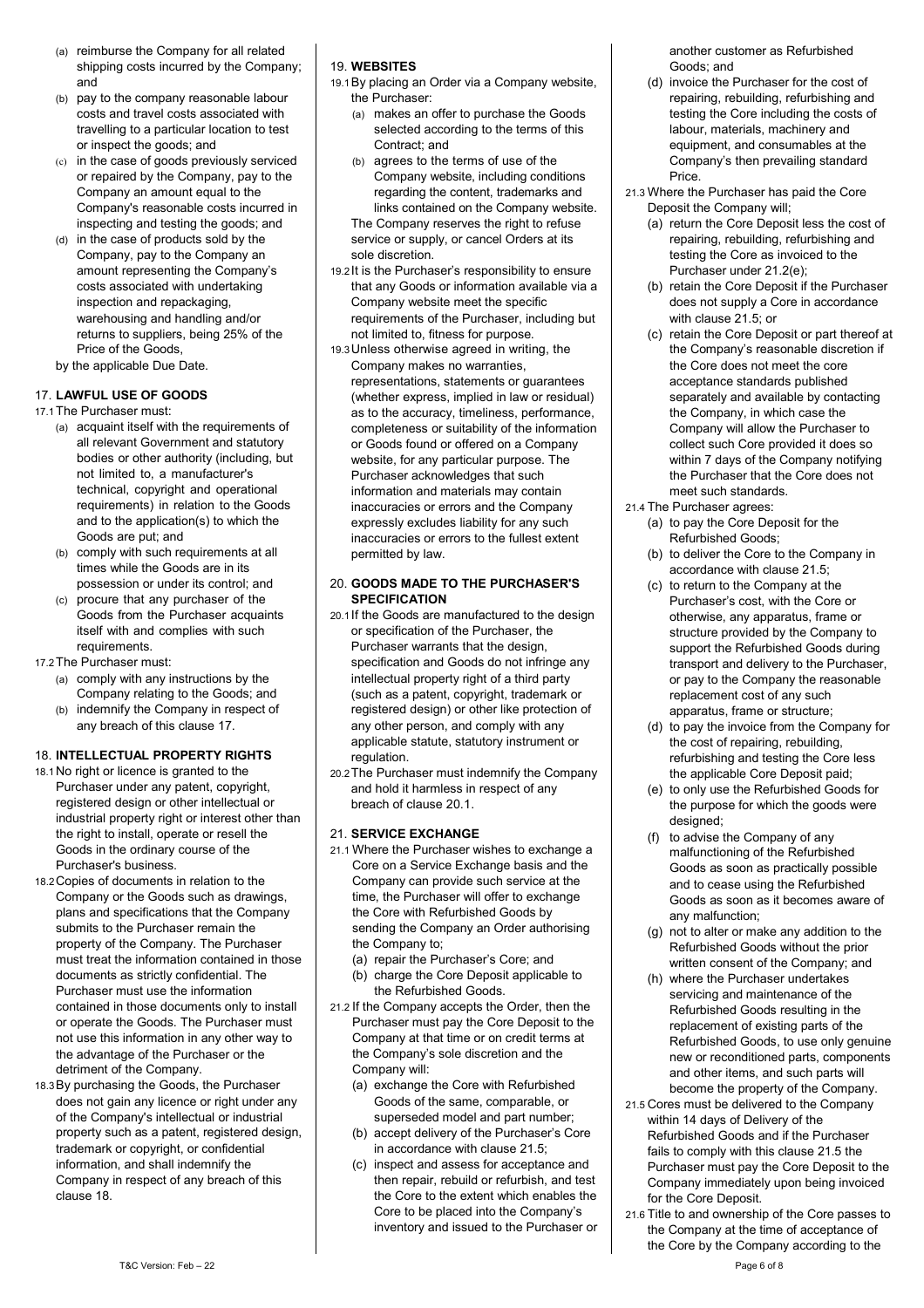- (a) reimburse the Company for all related shipping costs incurred by the Company; and
- (b) pay to the company reasonable labour costs and travel costs associated with travelling to a particular location to test or inspect the goods; and
- (c) in the case of goods previously serviced or repaired by the Company, pay to the Company an amount equal to the Company's reasonable costs incurred in inspecting and testing the goods; and
- (d) in the case of products sold by the Company, pay to the Company an amount representing the Company's costs associated with undertaking inspection and repackaging, warehousing and handling and/or returns to suppliers, being 25% of the Price of the Goods,
- by the applicable Due Date.

#### <span id="page-5-0"></span>17. **LAWFUL USE OF GOODS**

17.1The Purchaser must:

- (a) acquaint itself with the requirements of all relevant Government and statutory bodies or other authority (including, but not limited to, a manufacturer's technical, copyright and operational requirements) in relation to the Goods and to the application(s) to which the Goods are put; and
- (b) comply with such requirements at all times while the Goods are in its possession or under its control; and
- (c) procure that any purchaser of the Goods from the Purchaser acquaints itself with and complies with such requirements.
- 17.2The Purchaser must:
	- (a) comply with any instructions by the Company relating to the Goods; and
	- (b) indemnify the Company in respect of any breach of this claus[e 17.](#page-5-0)

# <span id="page-5-1"></span>18. **INTELLECTUAL PROPERTY RIGHTS**

- 18.1No right or licence is granted to the Purchaser under any patent, copyright, registered design or other intellectual or industrial property right or interest other than the right to install, operate or resell the Goods in the ordinary course of the Purchaser's business.
- 18.2Copies of documents in relation to the Company or the Goods such as drawings, plans and specifications that the Company submits to the Purchaser remain the property of the Company. The Purchaser must treat the information contained in those documents as strictly confidential. The Purchaser must use the information contained in those documents only to install or operate the Goods. The Purchaser must not use this information in any other way to the advantage of the Purchaser or the detriment of the Company.
- 18.3By purchasing the Goods, the Purchaser does not gain any licence or right under any of the Company's intellectual or industrial property such as a patent, registered design, trademark or copyright, or confidential information, and shall indemnify the Company in respect of any breach of this claus[e 18.](#page-5-1)

## 19. **WEBSITES**

- 19.1By placing an Order via a Company website, the Purchaser:
	- (a) makes an offer to purchase the Goods selected according to the terms of this Contract; and
	- (b) agrees to the terms of use of the Company website, including conditions regarding the content, trademarks and links contained on the Company website. The Company reserves the right to refuse service or supply, or cancel Orders at its sole discretion.
- 19.2 It is the Purchaser's responsibility to ensure that any Goods or information available via a Company website meet the specific requirements of the Purchaser, including but not limited to, fitness for purpose.
- 19.3Unless otherwise agreed in writing, the Company makes no warranties, representations, statements or guarantees (whether express, implied in law or residual) as to the accuracy, timeliness, performance, completeness or suitability of the information or Goods found or offered on a Company website, for any particular purpose. The Purchaser acknowledges that such information and materials may contain inaccuracies or errors and the Company expressly excludes liability for any such inaccuracies or errors to the fullest extent permitted by law.

#### 20. **GOODS MADE TO THE PURCHASER'S SPECIFICATION**

- <span id="page-5-2"></span>20.1 If the Goods are manufactured to the design or specification of the Purchaser, the Purchaser warrants that the design, specification and Goods do not infringe any intellectual property right of a third party (such as a patent, copyright, trademark or registered design) or other like protection of any other person, and comply with any applicable statute, statutory instrument or regulation.
- 20.2The Purchaser must indemnify the Company and hold it harmless in respect of any breach of clause [20.1.](#page-5-2)

#### 21. **SERVICE EXCHANGE**

- 21.1 Where the Purchaser wishes to exchange a Core on a Service Exchange basis and the Company can provide such service at the time, the Purchaser will offer to exchange the Core with Refurbished Goods by sending the Company an Order authorising the Company to;
	- (a) repair the Purchaser's Core; and (b) charge the Core Deposit applicable to
- the Refurbished Goods. 21.2 If the Company accepts the Order, then the Purchaser must pay the Core Deposit to the Company at that time or on credit terms at the Company's sole discretion and the Company will:
	- (a) exchange the Core with Refurbished Goods of the same, comparable, or superseded model and part number;
	- (b) accept delivery of the Purchaser's Core in accordance with clause 21.5;
	- (c) inspect and assess for acceptance and then repair, rebuild or refurbish, and test the Core to the extent which enables the Core to be placed into the Company's inventory and issued to the Purchaser or

another customer as Refurbished Goods; and

- (d) invoice the Purchaser for the cost of repairing, rebuilding, refurbishing and testing the Core including the costs of labour, materials, machinery and equipment, and consumables at the Company's then prevailing standard Price.
- 21.3 Where the Purchaser has paid the Core Deposit the Company will;
	- (a) return the Core Deposit less the cost of repairing, rebuilding, refurbishing and testing the Core as invoiced to the Purchaser under 21.2(e);
	- (b) retain the Core Deposit if the Purchaser does not supply a Core in accordance with clause 21.5; or
	- (c) retain the Core Deposit or part thereof at the Company's reasonable discretion if the Core does not meet the core acceptance standards published separately and available by contacting the Company, in which case the Company will allow the Purchaser to collect such Core provided it does so within 7 days of the Company notifying the Purchaser that the Core does not meet such standards.
- 21.4 The Purchaser agrees:
	- (a) to pay the Core Deposit for the Refurbished Goods;
	- (b) to deliver the Core to the Company in accordance with clause 21.5;
	- (c) to return to the Company at the Purchaser's cost, with the Core or otherwise, any apparatus, frame or structure provided by the Company to support the Refurbished Goods during transport and delivery to the Purchaser, or pay to the Company the reasonable replacement cost of any such apparatus, frame or structure;
	- (d) to pay the invoice from the Company for the cost of repairing, rebuilding, refurbishing and testing the Core less the applicable Core Deposit paid;
	- (e) to only use the Refurbished Goods for the purpose for which the goods were designed;
	- (f) to advise the Company of any malfunctioning of the Refurbished Goods as soon as practically possible and to cease using the Refurbished Goods as soon as it becomes aware of any malfunction;
	- (g) not to alter or make any addition to the Refurbished Goods without the prior written consent of the Company; and
	- (h) where the Purchaser undertakes servicing and maintenance of the Refurbished Goods resulting in the replacement of existing parts of the Refurbished Goods, to use only genuine new or reconditioned parts, components and other items, and such parts will become the property of the Company.
- 21.5 Cores must be delivered to the Company within 14 days of Delivery of the Refurbished Goods and if the Purchaser fails to comply with this clause 21.5 the Purchaser must pay the Core Deposit to the Company immediately upon being invoiced for the Core Deposit.
- 21.6 Title to and ownership of the Core passes to the Company at the time of acceptance of the Core by the Company according to the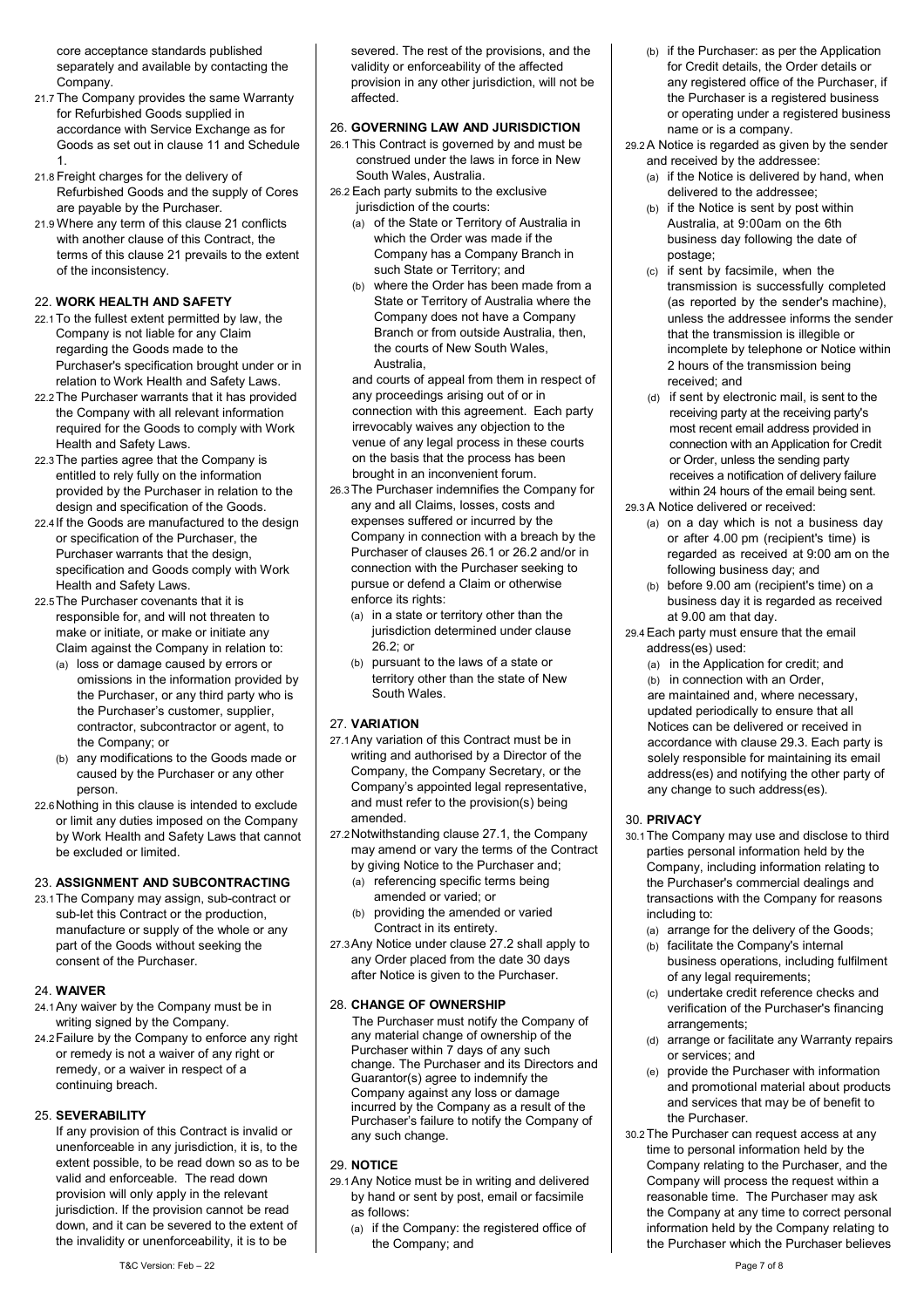core acceptance standards published separately and available by contacting the Company.

- 21.7 The Company provides the same Warranty for Refurbished Goods supplied in accordance with Service Exchange as for Goods as set out in clause 11 and Schedule 1.
- 21.8 Freight charges for the delivery of Refurbished Goods and the supply of Cores are payable by the Purchaser.
- 21.9 Where any term of this clause 21 conflicts with another clause of this Contract, the terms of this clause 21 prevails to the extent of the inconsistency.

#### 22. **WORK HEALTH AND SAFETY**

- 22.1To the fullest extent permitted by law, the Company is not liable for any Claim regarding the Goods made to the Purchaser's specification brought under or in relation to Work Health and Safety Laws.
- 22.2The Purchaser warrants that it has provided the Company with all relevant information required for the Goods to comply with Work Health and Safety Laws.
- 22.3The parties agree that the Company is entitled to rely fully on the information provided by the Purchaser in relation to the design and specification of the Goods.
- 22.4 If the Goods are manufactured to the design or specification of the Purchaser, the Purchaser warrants that the design, specification and Goods comply with Work Health and Safety Laws.
- 22.5The Purchaser covenants that it is responsible for, and will not threaten to make or initiate, or make or initiate any Claim against the Company in relation to:
	- (a) loss or damage caused by errors or omissions in the information provided by the Purchaser, or any third party who is the Purchaser's customer, supplier, contractor, subcontractor or agent, to the Company; or
	- (b) any modifications to the Goods made or caused by the Purchaser or any other person.
- 22.6Nothing in this clause is intended to exclude or limit any duties imposed on the Company by Work Health and Safety Laws that cannot be excluded or limited.

#### 23. **ASSIGNMENT AND SUBCONTRACTING**

23.1The Company may assign, sub-contract or sub-let this Contract or the production, manufacture or supply of the whole or any part of the Goods without seeking the consent of the Purchaser.

#### 24. **WAIVER**

- 24.1Any waiver by the Company must be in writing signed by the Company.
- 24.2Failure by the Company to enforce any right or remedy is not a waiver of any right or remedy, or a waiver in respect of a continuing breach.

#### 25. **SEVERABILITY**

If any provision of this Contract is invalid or unenforceable in any jurisdiction, it is, to the extent possible, to be read down so as to be valid and enforceable. The read down provision will only apply in the relevant jurisdiction. If the provision cannot be read down, and it can be severed to the extent of the invalidity or unenforceability, it is to be

severed. The rest of the provisions, and the validity or enforceability of the affected provision in any other jurisdiction, will not be affected.

# 26. **GOVERNING LAW AND JURISDICTION**

- <span id="page-6-2"></span>26.1 This Contract is governed by and must be construed under the laws in force in New South Wales, Australia.
- <span id="page-6-3"></span>26.2 Each party submits to the exclusive jurisdiction of the courts:
	- (a) of the State or Territory of Australia in which the Order was made if the Company has a Company Branch in such State or Territory; and
	- (b) where the Order has been made from a State or Territory of Australia where the Company does not have a Company Branch or from outside Australia, then, the courts of New South Wales, Australia,

and courts of appeal from them in respect of any proceedings arising out of or in connection with this agreement. Each party irrevocably waives any objection to the venue of any legal process in these courts on the basis that the process has been brought in an inconvenient forum.

- 26.3The Purchaser indemnifies the Company for any and all Claims, losses, costs and expenses suffered or incurred by the Company in connection with a breach by the Purchaser of clause[s 26.1](#page-6-2) o[r 26.2](#page-6-3) and/or in connection with the Purchaser seeking to pursue or defend a Claim or otherwise enforce its rights:
	- (a) in a state or territory other than the jurisdiction determined under clause  $26.2$ ; or
	- (b) pursuant to the laws of a state or territory other than the state of New South Wales.

#### 27. **VARIATION**

- <span id="page-6-1"></span>27.1Any variation of this Contract must be in writing and authorised by a Director of the Company, the Company Secretary, or the Company's appointed legal representative, and must refer to the provision(s) being amended.
- <span id="page-6-4"></span>27.2Notwithstanding claus[e 27.1,](#page-6-1) the Company may amend or vary the terms of the Contract by giving Notice to the Purchaser and;
	- (a) referencing specific terms being amended or varied; or
	- (b) providing the amended or varied Contract in its entirety.
- 27.3Any Notice under claus[e 27.2](#page-6-4) shall apply to any Order placed from the date 30 days after Notice is given to the Purchaser.

#### 28. **CHANGE OF OWNERSHIP**

The Purchaser must notify the Company of any material change of ownership of the Purchaser within 7 days of any such change. The Purchaser and its Directors and Guarantor(s) agree to indemnify the Company against any loss or damage incurred by the Company as a result of the Purchaser's failure to notify the Company of any such change.

# <span id="page-6-0"></span>29. **NOTICE**

- 29.1Any Notice must be in writing and delivered by hand or sent by post, email or facsimile as follows:
	- (a) if the Company: the registered office of the Company; and
- (b) if the Purchaser: as per the Application for Credit details, the Order details or any registered office of the Purchaser, if the Purchaser is a registered business or operating under a registered business name or is a company.
- 29.2A Notice is regarded as given by the sender and received by the addressee:
	- (a) if the Notice is delivered by hand, when delivered to the addressee;
	- (b) if the Notice is sent by post within Australia, at 9:00am on the 6th business day following the date of postage;
	- (c) if sent by facsimile, when the transmission is successfully completed (as reported by the sender's machine), unless the addressee informs the sender that the transmission is illegible or incomplete by telephone or Notice within 2 hours of the transmission being received; and
	- (d) if sent by electronic mail, is sent to the receiving party at the receiving party's most recent email address provided in connection with an Application for Credit or Order, unless the sending party receives a notification of delivery failure within 24 hours of the email being sent.
- <span id="page-6-5"></span>29.3A Notice delivered or received:
	- (a) on a day which is not a business day or after 4.00 pm (recipient's time) is regarded as received at 9:00 am on the following business day; and
	- (b) before 9.00 am (recipient's time) on a business day it is regarded as received at 9.00 am that day.
- 29.4Each party must ensure that the email address(es) used:
	- (a) in the Application for credit; and
	- (b) in connection with an Order, are maintained and, where necessary, updated periodically to ensure that all Notices can be delivered or received in accordance with claus[e 29.3.](#page-6-5) Each party is solely responsible for maintaining its email address(es) and notifying the other party of any change to such address(es).

#### 30. **PRIVACY**

- 30.1The Company may use and disclose to third parties personal information held by the Company, including information relating to the Purchaser's commercial dealings and transactions with the Company for reasons including to:
	- (a) arrange for the delivery of the Goods;
	- (b) facilitate the Company's internal business operations, including fulfilment of any legal requirements;
	- (c) undertake credit reference checks and verification of the Purchaser's financing arrangements;
	- (d) arrange or facilitate any Warranty repairs or services; and
	- (e) provide the Purchaser with information and promotional material about products and services that may be of benefit to the Purchaser.
- 30.2The Purchaser can request access at any time to personal information held by the Company relating to the Purchaser, and the Company will process the request within a reasonable time. The Purchaser may ask the Company at any time to correct personal information held by the Company relating to the Purchaser which the Purchaser believes